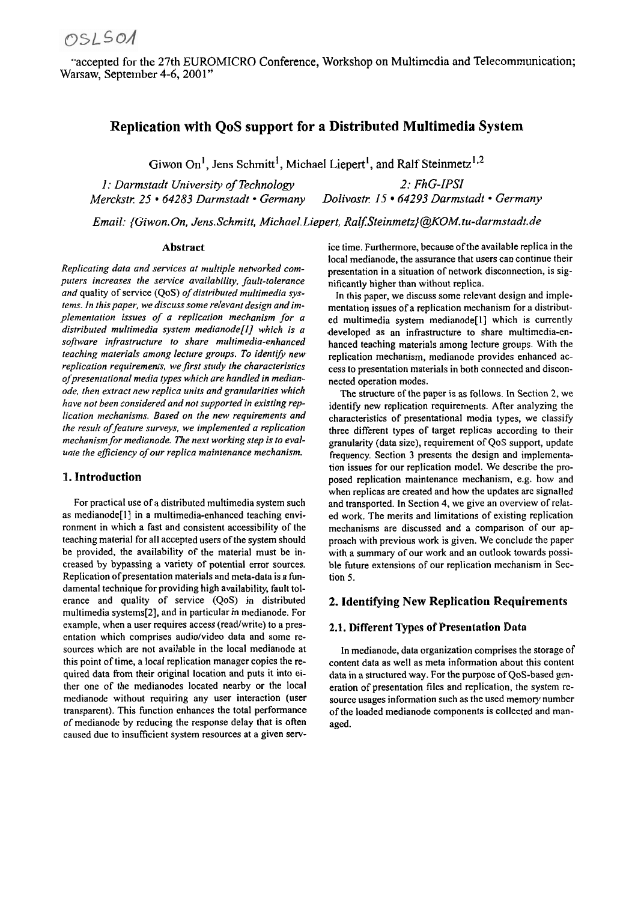# OSLSON

**"accepted for the 27th EUROMICRO Conference, Workshop on Multimedia and Telecommunication; Warsaw, September 4-6,200** 1"

## **Replication with QoS support for a Distributed Multimedia System**

 $Givon On<sup>1</sup>$ , Jens Schmitt<sup>1</sup>, Michael Liepert<sup>1</sup>, and Ralf Steinmetz<sup>1,2</sup>

*I: Darmstadt University of Technology* 2: FhG-IPSI *Merckstr. 25 64283 Darmstadt Germany Dolivostr. 15 64293 Darmstadt Germany* 

*Email: {Giwon.On, JensSchmitt, MichaeLLiepert,* **Ralf.Steinmetz)@KOM.tu-darmstadt.de** 

### **Abstract**

*Replicating data und services at multiple networked com-Puters increases the service availability, fault-tolerante und* quality of service (QoS) *of distributed multimedia sys*tems. In this paper, we discuss some relevant design and im*plernentation issues of a replication mechanism for a distributed multimedia system medianode[l] which is a software infrasrructure to share multimedia-enhanced teaching materials among lecture groups. To identijy new replication requirements, we firsi study the characteristics ofpresentational media types which are handled in medianode, then extract new replica units and granularities which have not been considered und not supported in existing replication mechanisms. Based on the new requirements und the result of feature surveys, we implemented a replication mechanism for medianode. The next working step is to evaltiate the efjiciency of our replica maintenance mechanism.* 

## **I. Introduction**

For practical use of a distributed multimedia system such as medianode[l] in a multimedia-enhanced teaching environment in which a fast and consistent accessibility of the teaching material for all accepted users of the system should be provided, the availability of the material must be increased by bypassing a variety of potential error sources. Replication of presentation materials and meta-data is a fundamental technique for providing high availability, fault tolerance and quality of service (QoS) in distributed multimedia systems[2], and in particular in medianode. For example, when a user requires access (read/write) to a presentation which comprises audio/video data and some resources which are not available in the local medianode at this point of time, a local replication manager copies the required data from their original location and puts it into either one of the medianodes located nearby or the local medianode without requiring any user interaction (user transparent). This function enhances the total performance of medianode by reducing the response delay that is often caused due to insufficient system resources at a given service time. Furthermore, because of the available replica in the local medianode, the assurance that users can continue their presentation in a situation of network disconnection, is significantly higher than without replica.

In this paper, we discuss some relevant design and implementation issues of a replication mechanism for a distributed multimedia system medianode[l] which is currently developed as an infrastmcture to share multimedia-enhanced teaching materials among lecture groups. With the replication mechanism, medianode provides enhanced access to presentation materials in both connected and disconnected operation modes.

The structure of the paper is as follows. In Section 2, we identify new replication requirements. After analyzing the characteristics of presentational media types, we classify three different types of target replicas according to their granularity (data size), requirement of QoS support, update frequency. Section 3 presents the design and implementation issues for our replication model. We describe the proposed replication maintenance mechanism, e.g. how and when replicas are created and how the updates are signalled and transported. In Section 4, we give an overview of related work. The merits and limitations of existing replication mechanisms are discussed and a comparison of our approach with previous work is given. We conclude the paper with a summary of our work and an outlook towards possible future extensions of our replication mechanism in Section 5.

## **2. Identifying New Replication Requirements**

### **2.1. Different Types of Presentation Data**

In medianode, data organization comprises the Storage of content data as well as meta information about this content data in a structured way. For the purpose of QoS-based generation of presentation files and replication, the system resource usages information such as the used memory number of the loaded medianode components is collected and managed.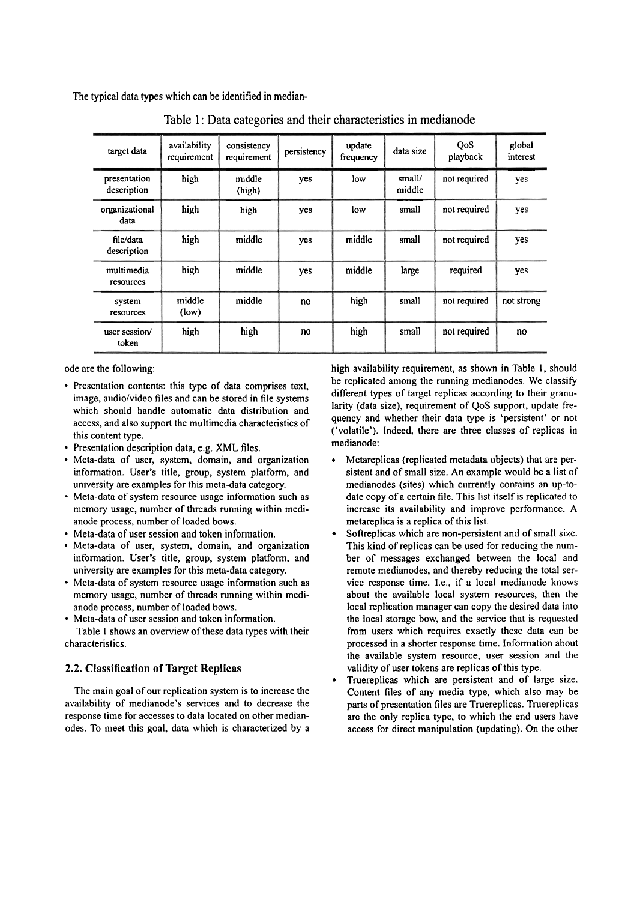The typical data types which can be identified in median-

| target data                 | availability<br>requirement | consistency<br>requirement | persistency | update<br>frequency | data size        | QoS<br>playback | global<br>interest |
|-----------------------------|-----------------------------|----------------------------|-------------|---------------------|------------------|-----------------|--------------------|
| presentation<br>description | high                        | middle<br>(high)           | yes         | low                 | small/<br>middle | not required    | yes                |
| organizational<br>data      | high                        | high                       | yes         | low                 | small            | not required    | yes                |
| file/data<br>description    | high                        | middle                     | yes         | middle              | small            | not required    | yes                |
| multimedia<br>resources     | high                        | middle                     | yes         | middle              | large            | required        | yes                |
| system<br>resources         | middle<br>(low)             | middle                     | no          | high                | small            | not required    | not strong         |
| user session/<br>token      | high                        | high                       | no          | high                | small            | not required    | no                 |

Table 1: Data categories and their characteristics in medianode

ode are the following:

- Presentation contents: this type of data comprises text, image, audio/video files and can be stored in file systems which should handle automatic data distribution and access, and also support the multimedia characteristics of this content type.
- Presentation description data, e.g. XML files.
- Meta-data of user, system, domain, and organization information. User's title, group, system platform, and university are examples for this meta-data category.
- Meta-data of system resource usage information such as memory usage, number of threads running within medianode process, number of loaded bows.
- Meta-data of user session and token information.
- Meta-data of user, system, domain, and organization information. User's title, group, system platform, and university are examples for this meta-data category.
- Meta-data of system resource usage information such as memory usage, number of threads running within medianode process, number of loaded bows.
- Meta-data of user session and token information.

Table I shows an overview of these data types with their characteristics.

## **2.2. Classification of Target Replicas**

The main goal of our replication system is to increase the availability of medianode's services and to decrease the response time for accesses to data located on other medianodes. To meet this goal, data which is characterized by a high availability requirement, as shown in Table I, should be replicated among the running medianodes. We classify different types of target replicas according to their granularity (data size), requirement of OoS support, update frequency and whether their data type is 'persistent' or not ('volatile'). Indeed, there are three classes of replicas in medianode:

- Metareplicas (replicated metadata objects) that are persistent and of small size. An example would be a list of medianodes (sites) which currently contains an up-todate copy of a certain file. This list itself is replicated to increase its availability and improve performance. A metareplica is a replica of this list.
- Softreplicas which are non-persistent and of small size. This kind of replicas can be used for reducing the number of messages exchanged between the local and remote medianodes, and thereby reducing the total service response time. I.e., if a local medianode knows about the available local system resources, then the local replication manager can copy the desired data into the local storage bow, and the service that is requested from users which requires exactly these data can be processed in a shorter response time. Information about the available system resource, User session and the validity of user tokens are replicas of this type.
- Truereplicas which are persistent and of large size. Content files of any media type, which also may be parts of presentation files are Truereplicas. Truereplicas are the only replica type, to which the end users have access for direct manipulation (updating). On the other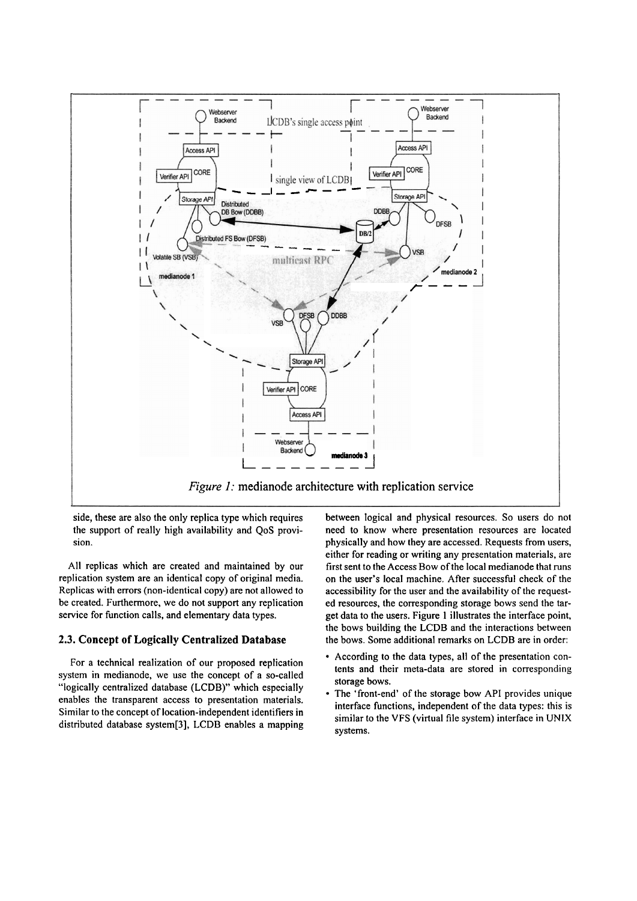

side, these are also the only replica type which requires the support of really high availability and QoS provision.

All replicas which are created and maintained by our replication system are an identical copy of original media. Replicas with errors (non-identical copy) are not allowed to be created. Furthermore, we do not support any replication service for function calls, and elementary data types.

#### **2.3. Concept of Logically Centralized Database**

For a technical realization of our proposed replication system in medianode, we use the concept of a so-called "logically centralized database (LCDB)" which especially enables the transparent access to presentation materials. Similar to the concept of location-independent identifiers in distributed database system[3], LCDB enables a mapping between logical and physical resources. So users do not need to know where presentation resources are located physically and how they are accessed. Requests from users, either for reading or writing any presentation materials, are first sent to the Access Bow of the local medianode that runs on the user's local machine. After successful check of the accessibility for the user and the availability of the requested resources, the corresponding storage bows send the target data to the users. Figure 1 illustrates the interface point, the bows building the LCDB and the interactions between the bows. Some additional remarks on LCDB are in order:

- According to the data types, all of the presentation contents and their meta-data are stored in corresponding storage bows.
- The 'front-end' of the storage bow API provides unique interface functions, independent of the data types: this is similar to the VFS (virtual file system) interface in UNIX systems.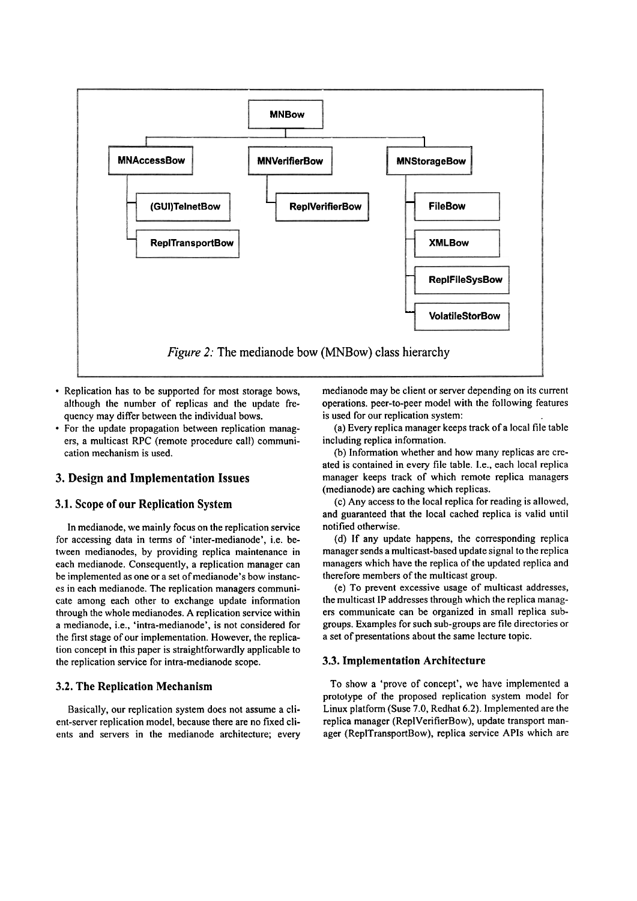

- Replication has to be supported for most storage bows, although the number of replicas and the update frequency may differ between the individual bows.
- For the update propagation between replication managers, a multicast **RPC** (remote procedure call) communication mechanism is used.

## **3. Design and Implementation Issues**

## **3.1. Scope of our Replication System**

In medianode, we mainly focus on the replication service for accessing data in terms of 'inter-medianode', i.e. between medianodes, by providing replica maintenance in each medianode. Consequently, a replication manager can be implemented as one or a set of medianode's bow instances in each medianode. The replication managers communicate among each other to exchange update information through the whole medianodes. A replication service within a medianode, i.e., 'intra-medianode', is not considered for the first stage of our implementation. However, the replication concept in this paper is straightforwardly applicable to the replication service for intra-medianode scope.

#### **3.2. The Replication Mechanism**

Basically, our replication system does not assume a client-server replication model, because there are no fixed clients and servers in the medianode architecture; every medianode may be client or Server depending on its current operations. peer-to-peer model with the following features is used for our replication system:

(a) Every replica manager keeps track of a local file table including replica information.

(b) Information whether and how many replicas are created is contained in every file table. I.e., each local replica manager keeps track of which remote replica managers (medianode) are caching which replicas.

(C) Any access to the local replica for reading is allowed, and guaranteed that the local cached replica is valid until notified otherwise.

(d) If any update happens, the corresponding replica manager sends a multicast-based update signal to the replica managers which have the replica of the updated replica and therefore members of the multicast group.

(e) To prevent excessive usage of multicast addresses, the multicast IP addresses through which the replica managers communicate can be organized in mall replica subgroups. Examples for such sub-groups are file directories or a set of presentations about the same lecture topic.

#### **3.3. Implementation Architecture**

To show a 'prove of concept', we have implemented a prototype of the proposed replication system model for Linux platform (Suse 7.0, Redhat **6.2).** Implemented are the replica manager (ReplVerifierBow), update transport manager (ReplTransportBow), replica service APls which are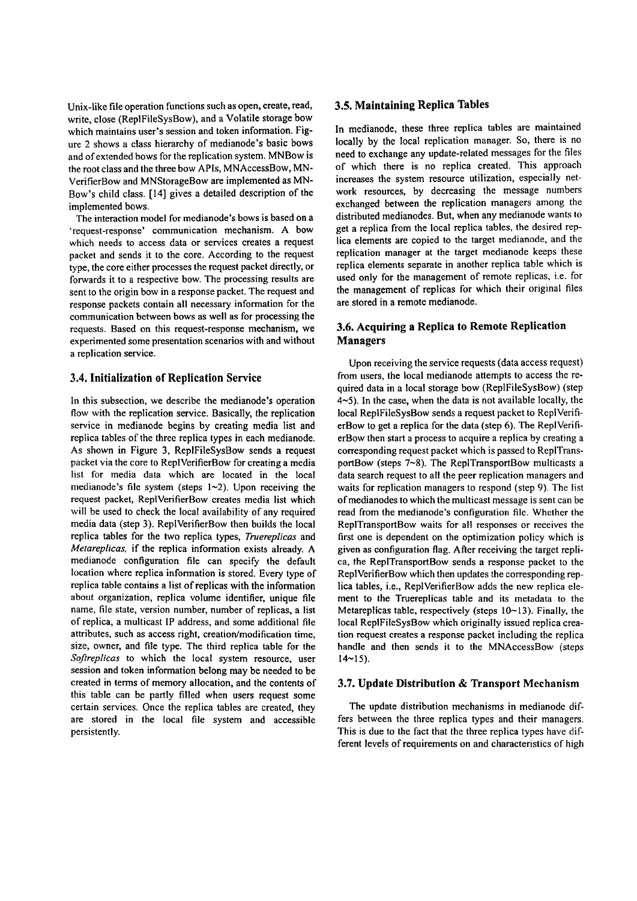Unix-like file operation functions such as open, create, read, write, close (ReplFileSysBow), and a Volatile storage bow which maintains user's session and token information. Figure 2 shows a class hierarchy of medianode's basic bows and of extended bows for the replication system. MNBow is the root class and the three bow APIs, MNAccessBow, MN-VerifierBow and MNStorageBow are implemented as MN-Bow's child class. [14] gives a detailed description of the implemented bows.

The interaction model for medianode's bows is based on a 'request-response' communication mechanism. A bow which needs to access data or services creates a request packet and sends it to the core. According to the request type, the core either processes the request packet directly, or forwards it to a respective bow. The processing results are sent to the origin bow in a response packet. The request and response packets contain all necessaty information for the communication between bows as well as for processing the requests. Based on this request-response mechanism, we experimented some presentation scenarios with and without a replication service.

#### **3.4. Initialization of Replication Service**

In this subsection, we describe the medianode's operation flow with the replication service. Basically, the replication service in medianode begins by creating media list and replica tables of the three replica types in each medianode. As shown in Figure 3, ReplFileSysBow sends a request packet via the core to ReplVerifierBow for creating a media list for media data which are located in the local medianode's file system (steps  $1-2$ ). Upon receiving the request packet, ReplVerifierBow creates media list which will be used to check the local availability of any required media data (step 3). ReplVerifierBow then builds the local replica tables for the two replica types, *Truereplicas* and *Metareplicas,* if the replica information exists already. **A**  medianode configuration file can specify the default location where replica information is stored. Every type of replica table contains a list of replicas with the information about organization, replica volume identifier, unique file name, file state, version number, number of replicas, a list of replica, a multicast IP address, and some additional file attributes, such as access right, creation/modification time, size, owner, and file type. The third replica table for the Softreplicas to which the local system resource, user session and token information belong may be needed to be created in terms of memory allocation, and the contents of this table can be partly filled when users request some certain services. Once the replica tables are created, they are stored in the local file System and accessible persistently.

## **3.5. Maintaining Replica Tables**

In medianode, these three replica tables are maintained locally by the local replication manager. So, there is no need to exchange any update-related messages for the files of which there is no replica created. This approach increases the system resource utilization, especially network resources, by decreasing the message numbers exchanged between the replication managers among the distributed medianodes. But, when any medianode wants to get a replica from the local replica tables, the desired replica elements are copied to the target medianode, and the replication manager at the target medianode keeps these replica elements separate in another replica table which is used only for the management of remote replicas, i.e. for the management of replicas for which their original files are stored in a remote medianode.

## **3.6. Acquiring a Replica to Remote Replication Managers**

Upon receiving the service requests (data access request) from users, the local medianode attempts to access the required data in a local storage bow (ReplFileSysBow) (step 4-5). In the case, when the data is not available locally, the local ReplFileSysBow sends a request packet to ReplVerifierBow to get a replica for the data (step 6). The ReplVerifierBow then start a process to acquire a replica by creating a corresponding request packet which is passed to ReplTransportBow (steps 7-8). The ReplTransportBow multicasts a data search request to all the peer replication managers and waits for replication managers to respond (step 9). The list of medianodes to which the multicast message is sent can be read from the medianode's configuration file. Whether the ReplTransportBow waits for all responses or receives the first one is dependent on the optimization policy which is given as configuration flag. After receiving the target replica, the ReplTransportBow sends a response packet to the ReplVerifierBow which then updates the corresponding replica tables, i.e., ReplVerifierBow adds the new replica element to the Truereplicas table and its metadata to the Metareplicas table, respectively (steps  $10 \sim 13$ ). Finally, the local ReplFileSysBow which originally issued replica creation request creates a response packet including the replica handle and then sends it to the MNAccessBow (steps  $14 - 15$ ).

#### **3.7. Update Distribution** & **Transport Mechanism**

The update distribution mechanisms in medianode differs between the three replica types and their managers. This is due to the fact that the three replica types have different levels of requirements on and characteristics of high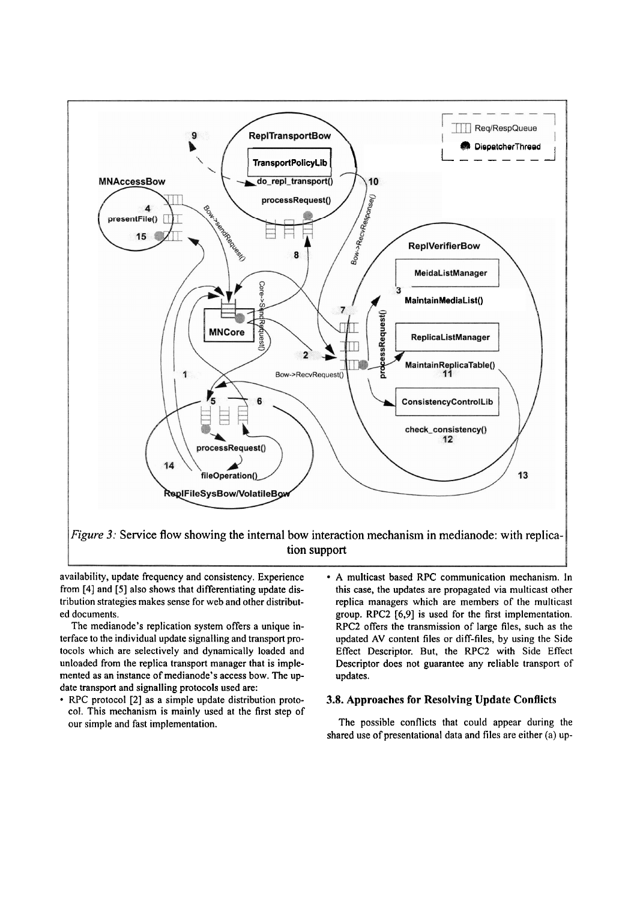

availability, update frequency and consistency. Experience from [4] and [5] also shows that differentiating update distribution strategies makes sense for web and other distributed documents.

The medianode's replication system offers a unique interface to the individual update signalling and transport protocols which are selectively and dynamically loaded and unloaded from the replica transport manager that is implemented as an instance of medianode's access bow. The update transport and signalling protocols used are:

- RPC protocol [2] as a simple update distribution protocol. This mechanism is mainly used at the first step of our simple and fast implementation.
- A multicast based RPC communication mechanism. In this case, the updates are propagated via multicast other replica managers which are members of the multicast group. RPC2 **[6,9]** is used for the first implementation. RPC2 offers the transmission of large files, such as the updated AV content files or diff-files, by using the Side Effect Descriptor. But, the RPC2 with Side Effect Descriptor does not guarantee any reliable transport of updates.

## **3.8. Approaches for Resolving Update Conflicts**

The possible conflicts that could appear during the shared use of presentational data and files are either (a) up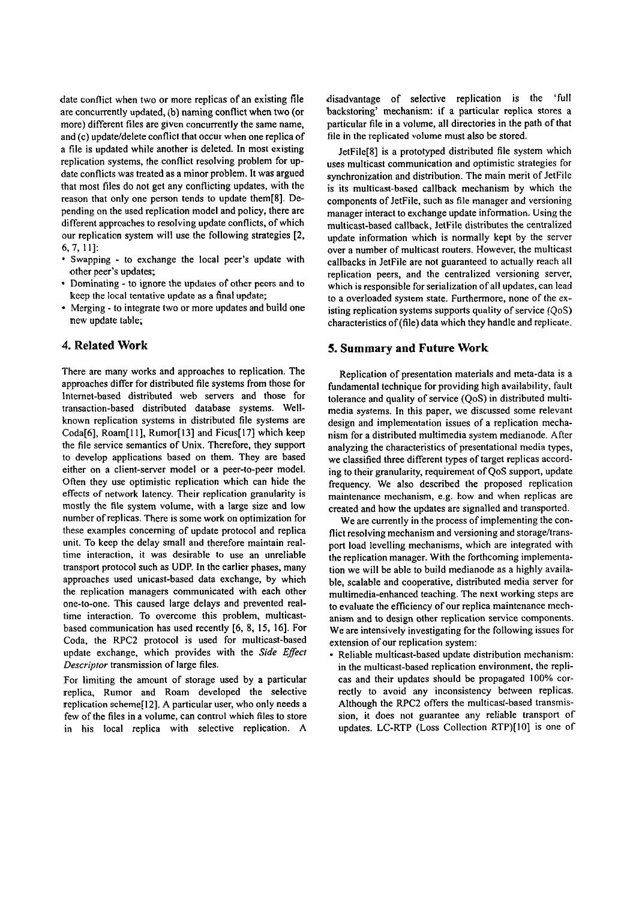date conflict when two or more replicas of an existing file are concurrently updated, (b) naming conflict when two (or more) different files are given concurrently the same name, and (c) update/delete conflict that occur when one replica of a file is updated while another is deleted. In most existing replication systems, the conflict resolving problem for update conflicts was treated as a minor problem. It was argued that most files do not get any conflicting updates, with the reason that only one person tends to update them[8]. Depending on the used replication model and policy, there are different approaches to resolving update conflicts, of which our replication system will use the following strategies [2, 6, 7, 1 I]:

- Swapping to exchange the local peer's update with other peer's updates;
- Dominating to ignore the updates of other peers and to keep the local tentative update as a final update;
- Merging to integrate two or more updates and build one new update table;

## **4. Related Work**

There are many works and approaches to replication. The approaches differ for distributed file systems from those for Intemet-based distributed web Servers and those for transaction-based distributed database systems. Wellknown replication Systems in distributed file systems are Coda[6], Roam[l I], Rumor[l3] and Ficus[l7] which keep the file service semantics of Unix. Therefore, they support to develop applications based on them. They are based either on a client-server model or a peer-to-peer model. Often they use optimistic replication which can hide the effects of network latency. Their replication granularity is mostly the file system volume, with a large size and low number of replicas. There is some work on optimization for these examples concerning of update protocol and replica unit. To keep the delay small and therefore maintain realtime interaction, it was desirable to use an unreliable transport protocol such as UDP. In the earlier phases, many approaches used unicast-based data exchange, by which the replication managers communicated with each other one-to-one. This caused large delays and prevented realtime interaction. To overcome this problem, multicastbased communication has used recently [6, 8, 15, 16]. For Coda, the RPC2 protocol is used for multicast-based update exchange, which provides with the *Side Effect Descriptor* transmission of large files.

For limiting the amount of storage used by a particular replica, Rumor and Roam developed the selective replication scheme[12]. A particular user, who only needs a few of the files in a volume, can control which files to store in his local replica with selective replication. A disadvantage of selective replication is the 'full backstoring' mechanism: if a particular replica Stores a particular file in a volume, all directories in the path of that file in the replicated volume must also be stored.

JetFile[8] is a prototyped distributed file system which uses multicast communication and optimistic strategies for synchronization and distribution. The main merit of JetFile is its multicast-based callback mechanism by which the components of JetFile, such as file manager and versioning manager interact to exchange update information. Using the multicast-based callback, JetFile distributes the centralized update information which is normally kept by the server over a number of multicast routers. However, the multicast callbacks in JetFile are not guaranteed to actually reach all replication peers, and the centralized versioning server, which is responsible for serialization of all updates, can lead to a overloaded system state. Furthermore, none of the existing replication systems supports quality of service (QoS) characteristics of (file) data which they handle and replicate.

#### **5. Summary and Future Work**

Replication of presentation materials and meta-data is a fundamental technique for providing high availability, fault tolerance and quality of service (QoS) in distributed multimedia systems. In this Paper, we discussed some relevant design and implementation issues of a replication mechanism for a distributed multimedia system medianode. After analyzing the characteristics of presentational media types, we classified three different types of target replicas according to their granularity, requirement of QoS support, update frequency. We also described the proposed replication maintenance mechanism, e.g. how and when replicas are created and how the updates are signalled and transported.

We are currently in the process of implementing the conflict resolving mechanism and versioning and storage/transport load levelling mechanisms, which are integrated with the replication manager. With the forthcoming implementation we will be able to build medianode as a highly available, scalable and cooperative, distributed media server for multimedia-enhanced teaching. The next working steps are to evaluate the efficiency of our replica maintenance mechanism and to design other replication service components. We are intensively investigating for the following issues for extension of our replication system:

Reliable multicast-based update distribution mechanism: in the multicast-based replication environment, the replicas and their updates should be propagated 100% correctly to avoid any inconsistency between replicas. Although the **RPC2** offers the multicast-based transmission, it does not guarantee any reliable transport of updates. LC-RTP (Loss Collection RTP)[IO] is one of